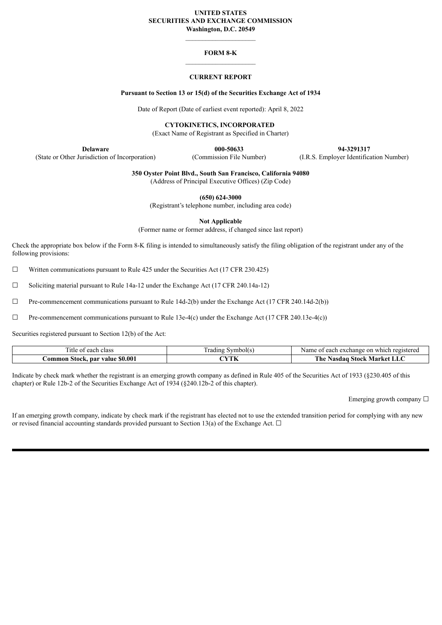# **UNITED STATES SECURITIES AND EXCHANGE COMMISSION**

**Washington, D.C. 20549**

## **FORM 8-K**

## **CURRENT REPORT**

#### **Pursuant to Section 13 or 15(d) of the Securities Exchange Act of 1934**

Date of Report (Date of earliest event reported): April 8, 2022

**CYTOKINETICS, INCORPORATED**

(Exact Name of Registrant as Specified in Charter)

**Delaware 000-50633 94-3291317**

(State or Other Jurisdiction of Incorporation) (Commission File Number) (I.R.S. Employer Identification Number)

**350 Oyster Point Blvd., South San Francisco, California 94080**

(Address of Principal Executive Offices) (Zip Code)

**(650) 624-3000**

(Registrant's telephone number, including area code)

**Not Applicable**

(Former name or former address, if changed since last report)

Check the appropriate box below if the Form 8-K filing is intended to simultaneously satisfy the filing obligation of the registrant under any of the following provisions:

 $\Box$  Written communications pursuant to Rule 425 under the Securities Act (17 CFR 230.425)

☐ Soliciting material pursuant to Rule 14a-12 under the Exchange Act (17 CFR 240.14a-12)

 $\Box$  Pre-commencement communications pursuant to Rule 14d-2(b) under the Exchange Act (17 CFR 240.14d-2(b))

 $\Box$  Pre-commencement communications pursuant to Rule 13e-4(c) under the Exchange Act (17 CFR 240.13e-4(c))

Securities registered pursuant to Section 12(b) of the Act:

| l'itle<br>t each.<br>class                  | symbol(s<br>l radıng | registered<br>on<br>Name<br>which<br>. exchange<br>egor<br>саы |
|---------------------------------------------|----------------------|----------------------------------------------------------------|
| \$0.00<br>.ommon<br>. par value<br>- Stock. | NY ZEL<br>. .        | <b>The</b><br>Market<br>Stock<br>aasuau<br>பட                  |

Indicate by check mark whether the registrant is an emerging growth company as defined in Rule 405 of the Securities Act of 1933 (§230.405 of this chapter) or Rule 12b-2 of the Securities Exchange Act of 1934 (§240.12b-2 of this chapter).

Emerging growth company  $\Box$ 

If an emerging growth company, indicate by check mark if the registrant has elected not to use the extended transition period for complying with any new or revised financial accounting standards provided pursuant to Section 13(a) of the Exchange Act.  $\Box$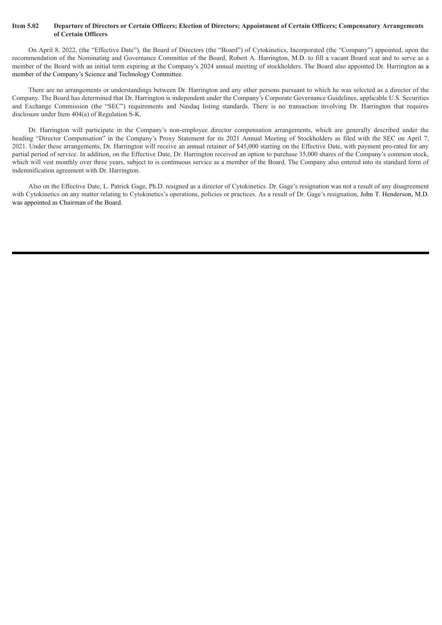#### Item 5.02 Departure of Directors or Certain Officers; Election of Directors; Appointment of Certain Officers; Compensatory Arrangements **of Certain Officers**

On April 8, 2022, (the "Effective Date"), the Board of Directors (the "Board") of Cytokinetics, Incorporated (the "Company") appointed, upon the recommendation of the Nominating and Governance Committee of the Board, Robert A. Harrington, M.D. to fill a vacant Board seat and to serve as a member of the Board with an initial term expiring at the Company's 2024 annual meeting of stockholders. The Board also appointed Dr. Harrington as a member of the Company's Science and Technology Committee.

There are no arrangements or understandings between Dr. Harrington and any other persons pursuant to which he was selected as a director of the Company. The Board has determined that Dr. Harrington is independent under the Company's Corporate Governance Guidelines, applicable U.S. Securities and Exchange Commission (the "SEC") requirements and Nasdaq listing standards. There is no transaction involving Dr. Harrington that requires disclosure under Item 404(a) of Regulation S-K.

Dr. Harrington will participate in the Company's non-employee director compensation arrangements, which are generally described under the heading "Director Compensation" in the Company's Proxy Statement for its 2021 Annual Meeting of Stockholders as filed with the SEC on April 7, 2021. Under these arrangements, Dr. Harrington will receive an annual retainer of \$45,000 starting on the Effective Date, with payment pro-rated for any partial period of service. In addition, on the Effective Date, Dr. Harrington received an option to purchase 35,000 shares of the Company's common stock, which will vest monthly over three years, subject to is continuous service as a member of the Board. The Company also entered into its standard form of indemnification agreement with Dr. Harrington.

Also on the Effective Date, L. Patrick Gage, Ph.D. resigned as a director of Cytokinetics. Dr. Gage's resignation was not a result of any disagreement with Cytokinetics on any matter relating to Cytokinetics's operations, policies or practices. As a result of Dr. Gage's resignation, John T. Henderson, M.D. was appointed as Chairman of the Board.